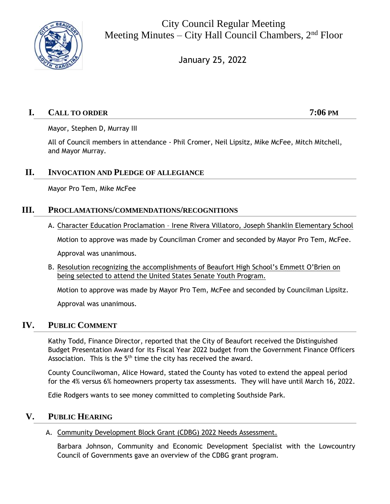

City Council Regular Meeting Meeting Minutes – City Hall Council Chambers,  $2<sup>nd</sup>$  Floor

January 25, 2022

# **I. CALL TO ORDER 7:06 PM**

Mayor, Stephen D, Murray III

All of Council members in attendance - Phil Cromer, Neil Lipsitz, Mike McFee, Mitch Mitchell, and Mayor Murray.

# **II. INVOCATION AND PLEDGE OF ALLEGIANCE**

Mayor Pro Tem, Mike McFee

## **III. PROCLAMATIONS/COMMENDATIONS/RECOGNITIONS**

A. Character Education Proclamation – Irene Rivera Villatoro, Joseph Shanklin Elementary School

Motion to approve was made by Councilman Cromer and seconded by Mayor Pro Tem, McFee.

Approval was unanimous.

B. Resolution recognizing the accomplishments of Beaufort High School's Emmett O'Brien on being selected to attend the United States Senate Youth Program.

Motion to approve was made by Mayor Pro Tem, McFee and seconded by Councilman Lipsitz.

Approval was unanimous.

## **IV. PUBLIC COMMENT**

Kathy Todd, Finance Director, reported that the City of Beaufort received the Distinguished Budget Presentation Award for its Fiscal Year 2022 budget from the Government Finance Officers Association. This is the  $5<sup>th</sup>$  time the city has received the award.

County Councilwoman, Alice Howard, stated the County has voted to extend the appeal period for the 4% versus 6% homeowners property tax assessments. They will have until March 16, 2022.

Edie Rodgers wants to see money committed to completing Southside Park.

# **V. PUBLIC HEARING**

### A. Community Development Block Grant (CDBG) 2022 Needs Assessment.

Barbara Johnson, Community and Economic Development Specialist with the Lowcountry Council of Governments gave an overview of the CDBG grant program.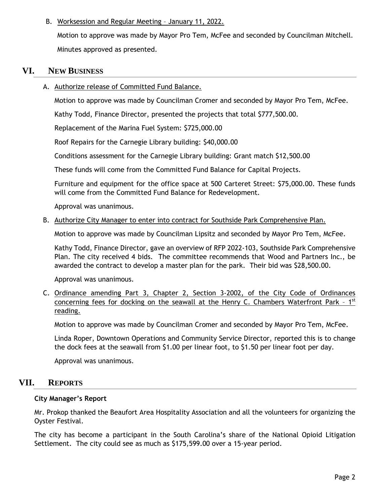### B. Worksession and Regular Meeting – January 11, 2022.

Motion to approve was made by Mayor Pro Tem, McFee and seconded by Councilman Mitchell. Minutes approved as presented.

### **VI. NEW BUSINESS**

A. Authorize release of Committed Fund Balance.

Motion to approve was made by Councilman Cromer and seconded by Mayor Pro Tem, McFee.

Kathy Todd, Finance Director, presented the projects that total \$777,500.00.

Replacement of the Marina Fuel System: \$725,000.00

Roof Repairs for the Carnegie Library building: \$40,000.00

Conditions assessment for the Carnegie Library building: Grant match \$12,500.00

These funds will come from the Committed Fund Balance for Capital Projects.

Furniture and equipment for the office space at 500 Carteret Street: \$75,000.00. These funds will come from the Committed Fund Balance for Redevelopment.

Approval was unanimous.

### B. Authorize City Manager to enter into contract for Southside Park Comprehensive Plan.

Motion to approve was made by Councilman Lipsitz and seconded by Mayor Pro Tem, McFee.

Kathy Todd, Finance Director, gave an overview of RFP 2022-103, Southside Park Comprehensive Plan. The city received 4 bids. The committee recommends that Wood and Partners Inc., be awarded the contract to develop a master plan for the park. Their bid was \$28,500.00.

Approval was unanimous.

C. Ordinance amending Part 3, Chapter 2, Section 3-2002, of the City Code of Ordinances concerning fees for docking on the seawall at the Henry C. Chambers Waterfront Park - 1<sup>st</sup> reading.

Motion to approve was made by Councilman Cromer and seconded by Mayor Pro Tem, McFee.

Linda Roper, Downtown Operations and Community Service Director, reported this is to change the dock fees at the seawall from \$1.00 per linear foot, to \$1.50 per linear foot per day.

Approval was unanimous.

## **VII. REPORTS**

### **City Manager's Report**

Mr. Prokop thanked the Beaufort Area Hospitality Association and all the volunteers for organizing the Oyster Festival.

The city has become a participant in the South Carolina's share of the National Opioid Litigation Settlement. The city could see as much as \$175,599.00 over a 15-year period.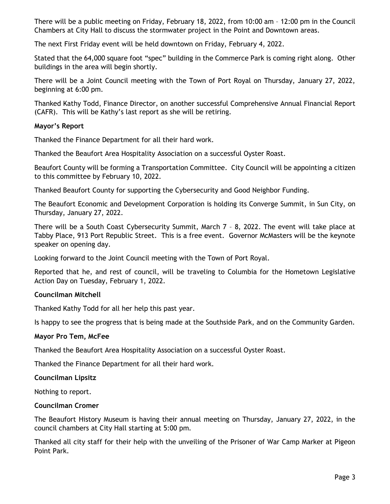There will be a public meeting on Friday, February 18, 2022, from 10:00 am – 12:00 pm in the Council Chambers at City Hall to discuss the stormwater project in the Point and Downtown areas.

The next First Friday event will be held downtown on Friday, February 4, 2022.

Stated that the 64,000 square foot "spec" building in the Commerce Park is coming right along. Other buildings in the area will begin shortly.

There will be a Joint Council meeting with the Town of Port Royal on Thursday, January 27, 2022, beginning at 6:00 pm.

Thanked Kathy Todd, Finance Director, on another successful Comprehensive Annual Financial Report (CAFR). This will be Kathy's last report as she will be retiring.

### **Mayor's Report**

Thanked the Finance Department for all their hard work.

Thanked the Beaufort Area Hospitality Association on a successful Oyster Roast.

Beaufort County will be forming a Transportation Committee. City Council will be appointing a citizen to this committee by February 10, 2022.

Thanked Beaufort County for supporting the Cybersecurity and Good Neighbor Funding.

The Beaufort Economic and Development Corporation is holding its Converge Summit, in Sun City, on Thursday, January 27, 2022.

There will be a South Coast Cybersecurity Summit, March 7 – 8, 2022. The event will take place at Tabby Place, 913 Port Republic Street. This is a free event. Governor McMasters will be the keynote speaker on opening day.

Looking forward to the Joint Council meeting with the Town of Port Royal.

Reported that he, and rest of council, will be traveling to Columbia for the Hometown Legislative Action Day on Tuesday, February 1, 2022.

### **Councilman Mitchell**

Thanked Kathy Todd for all her help this past year.

Is happy to see the progress that is being made at the Southside Park, and on the Community Garden.

### **Mayor Pro Tem, McFee**

Thanked the Beaufort Area Hospitality Association on a successful Oyster Roast.

Thanked the Finance Department for all their hard work.

### **Councilman Lipsitz**

Nothing to report.

### **Councilman Cromer**

The Beaufort History Museum is having their annual meeting on Thursday, January 27, 2022, in the council chambers at City Hall starting at 5:00 pm.

Thanked all city staff for their help with the unveiling of the Prisoner of War Camp Marker at Pigeon Point Park.